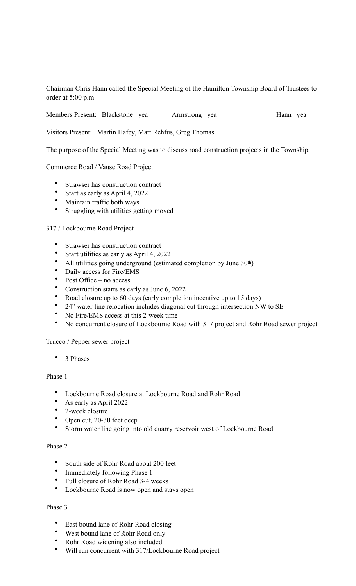Chairman Chris Hann called the Special Meeting of the Hamilton Township Board of Trustees to order at 5:00 p.m.

Members Present: Blackstone yea Armstrong yea Hann yea

Visitors Present: Martin Hafey, Matt Rehfus, Greg Thomas

The purpose of the Special Meeting was to discuss road construction projects in the Township.

### Commerce Road / Vause Road Project

- Strawser has construction contract
- Start as early as April 4, 2022
- Maintain traffic both ways
- Struggling with utilities getting moved

### 317 / Lockbourne Road Project

- Strawser has construction contract
- Start utilities as early as April 4, 2022
- All utilities going underground (estimated completion by June 30<sup>th</sup>)
- Daily access for Fire/EMS
- Post Office no access
- Construction starts as early as June 6, 2022
- Road closure up to 60 days (early completion incentive up to 15 days)
- 24" water line relocation includes diagonal cut through intersection NW to SE
- No Fire/EMS access at this 2-week time
- No concurrent closure of Lockbourne Road with 317 project and Rohr Road sewer project

### Trucco / Pepper sewer project

• 3 Phases

# Phase 1

- Lockbourne Road closure at Lockbourne Road and Rohr Road
- As early as April 2022
- 2-week closure
- Open cut, 20-30 feet deep
- Storm water line going into old quarry reservoir west of Lockbourne Road

## Phase 2

- South side of Rohr Road about 200 feet
- Immediately following Phase 1
- Full closure of Rohr Road 3-4 weeks
- Lockbourne Road is now open and stays open

### Phase 3

- East bound lane of Rohr Road closing
- West bound lane of Rohr Road only
- Rohr Road widening also included
- Will run concurrent with 317/Lockbourne Road project